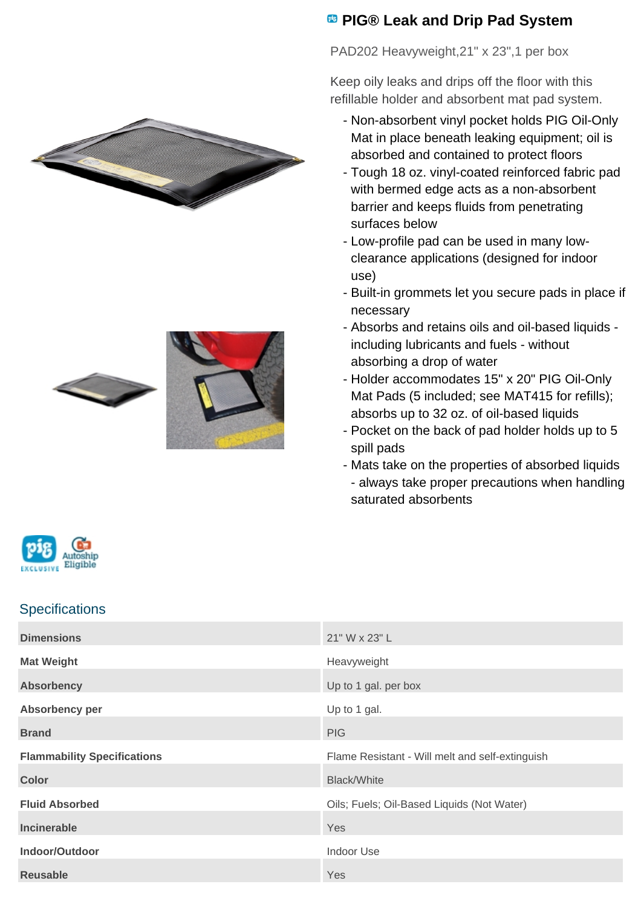





## **<sup><b>B</sup>** PIG® Leak and Drip Pad System</sup>

PAD202 Heavyweight,21" x 23",1 per box

Keep oily leaks and drips off the floor with this refillable holder and absorbent mat pad system.

- Non-absorbent vinyl pocket holds PIG Oil-Only Mat in place beneath leaking equipment; oil is absorbed and contained to protect floors
- Tough 18 oz. vinyl-coated reinforced fabric pad with bermed edge acts as a non-absorbent barrier and keeps fluids from penetrating surfaces below
- Low-profile pad can be used in many lowclearance applications (designed for indoor use)
- Built-in grommets let you secure pads in place if necessary
- Absorbs and retains oils and oil-based liquids including lubricants and fuels - without absorbing a drop of water
- Holder accommodates 15" x 20" PIG Oil-Only Mat Pads (5 included; see MAT415 for refills); absorbs up to 32 oz. of oil-based liquids
- Pocket on the back of pad holder holds up to 5 spill pads
- Mats take on the properties of absorbed liquids - always take proper precautions when handling saturated absorbents



## **Specifications**

| <b>Dimensions</b>                  | 21" W x 23" L                                   |
|------------------------------------|-------------------------------------------------|
| <b>Mat Weight</b>                  | Heavyweight                                     |
| <b>Absorbency</b>                  | Up to 1 gal. per box                            |
| Absorbency per                     | Up to 1 gal.                                    |
| <b>Brand</b>                       | <b>PIG</b>                                      |
| <b>Flammability Specifications</b> | Flame Resistant - Will melt and self-extinguish |
| <b>Color</b>                       | <b>Black/White</b>                              |
| <b>Fluid Absorbed</b>              | Oils; Fuels; Oil-Based Liquids (Not Water)      |
| Incinerable                        | <b>Yes</b>                                      |
| Indoor/Outdoor                     | <b>Indoor Use</b>                               |
| <b>Reusable</b>                    | Yes                                             |